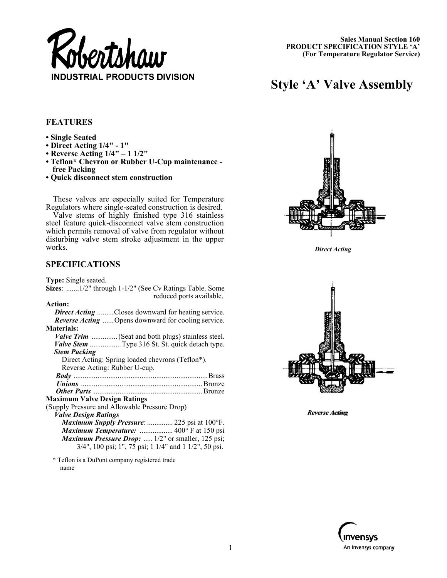

# **Style 'A' Valve Assembly**

## **FEATURES**

- **Single Seated**
- **Direct Acting 1/4" 1"**
- **Reverse Acting 1/4" 1 1/2"**
- **Teflon\* Chevron or Rubber U-Cup maintenance free Packing**
- **Quick disconnect stem construction**

These valves are especially suited for Temperature Regulators where single-seated construction is desired.

Valve stems of highly finished type 316 stainless steel feature quick-disconnect valve stem construction which permits removal of valve from regulator without disturbing valve stem stroke adjustment in the upper works.

## **SPECIFICATIONS**

**Type:** Single seated.

**Sizes**: .......1/2" through 1-1/2" (See Cv Ratings Table. Some reduced ports available.

\* Teflon is a DuPont company registered trade name



*Direct Acting* 



*Reverse Acting Reverse Acting*